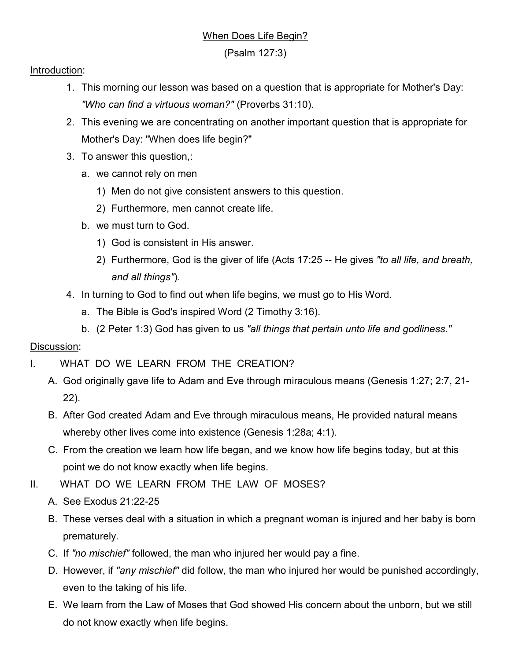# When Does Life Begin?

(Psalm 127:3)

#### Introduction:

- 1. This morning our lesson was based on a question that is appropriate for Mother's Day: *"Who can find a virtuous woman?"* (Proverbs 31:10).
- 2. This evening we are concentrating on another important question that is appropriate for Mother's Day: "When does life begin?"
- 3. To answer this question,:
	- a. we cannot rely on men
		- 1) Men do not give consistent answers to this question.
		- 2) Furthermore, men cannot create life.
	- b. we must turn to God.
		- 1) God is consistent in His answer.
		- 2) Furthermore, God is the giver of life (Acts 17:25 -- He gives *"to all life, and breath, and all things"*).
- 4. In turning to God to find out when life begins, we must go to His Word.
	- a. The Bible is God's inspired Word (2 Timothy 3:16).
	- b. (2 Peter 1:3) God has given to us *"all things that pertain unto life and godliness."*

### Discussion:

- I. WHAT DO WE LEARN FROM THE CREATION?
	- A. God originally gave life to Adam and Eve through miraculous means (Genesis 1:27; 2:7, 21- 22).
	- B. After God created Adam and Eve through miraculous means, He provided natural means whereby other lives come into existence (Genesis 1:28a; 4:1).
	- C. From the creation we learn how life began, and we know how life begins today, but at this point we do not know exactly when life begins.
- II. WHAT DO WE LEARN FROM THE LAW OF MOSES?
	- A. See Exodus 21:22-25
	- B. These verses deal with a situation in which a pregnant woman is injured and her baby is born prematurely.
	- C. If *"no mischief"* followed, the man who injured her would pay a fine.
	- D. However, if *"any mischief"* did follow, the man who injured her would be punished accordingly, even to the taking of his life.
	- E. We learn from the Law of Moses that God showed His concern about the unborn, but we still do not know exactly when life begins.